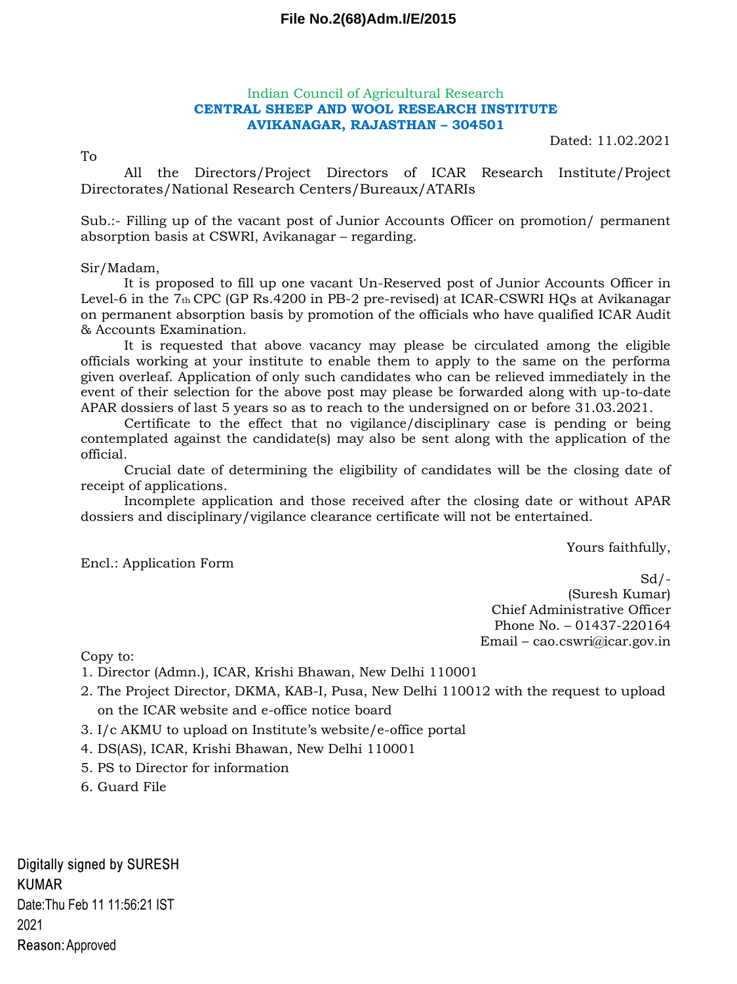### **File No.2(68)Adm.I/E/2015**

#### Indian Council of Agricultural Research **CENTRAL SHEEP AND WOOL RESEARCH INSTITUTE AVIKANAGAR, RAJASTHAN – 304501**

Dated: 11.02.2021

To All the Directors/Project Directors of ICAR Research Institute/Project Directorates/National Research Centers/Bureaux/ATARIs

Sub.:- Filling up of the vacant post of Junior Accounts Officer on promotion/ permanent absorption basis at CSWRI, Avikanagar – regarding.

# Sir/Madam,

It is proposed to fill up one vacant Un-Reserved post of Junior Accounts Officer in Level-6 in the 7th CPC (GP Rs.4200 in PB-2 pre-revised) at ICAR-CSWRI HQs at Avikanagar on permanent absorption basis by promotion of the officials who have qualified ICAR Audit & Accounts Examination.

It is requested that above vacancy may please be circulated among the eligible officials working at your institute to enable them to apply to the same on the performa given overleaf. Application of only such candidates who can be relieved immediately in the event of their selection for the above post may please be forwarded along with up-to-date APAR dossiers of last 5 years so as to reach to the undersigned on or before 31.03.2021.

Certificate to the effect that no vigilance/disciplinary case is pending or being contemplated against the candidate(s) may also be sent along with the application of the official.

Crucial date of determining the eligibility of candidates will be the closing date of receipt of applications.

Incomplete application and those received after the closing date or without APAR dossiers and disciplinary/vigilance clearance certificate will not be entertained.

Yours faithfully,

Encl.: Application Form

 $Sd$  /-(Suresh Kumar) Chief Administrative Officer Phone No. – 01437-220164 Email – cao.cswri@icar.gov.in

Copy to:

1. Director (Admn.), ICAR, Krishi Bhawan, New Delhi 110001

- 2. The Project Director, DKMA, KAB-I, Pusa, New Delhi 110012 with the request to upload on the ICAR website and e-office notice board
- 3. I/c AKMU to upload on Institute's website/e-office portal
- 4. DS(AS), ICAR, Krishi Bhawan, New Delhi 110001
- 5. PS to Director for information
- 6. Guard File

Digitally signed by SURESH **KUMAR** Date: Thu Feb 11 11:56:21 IST 2021 Reason: Approved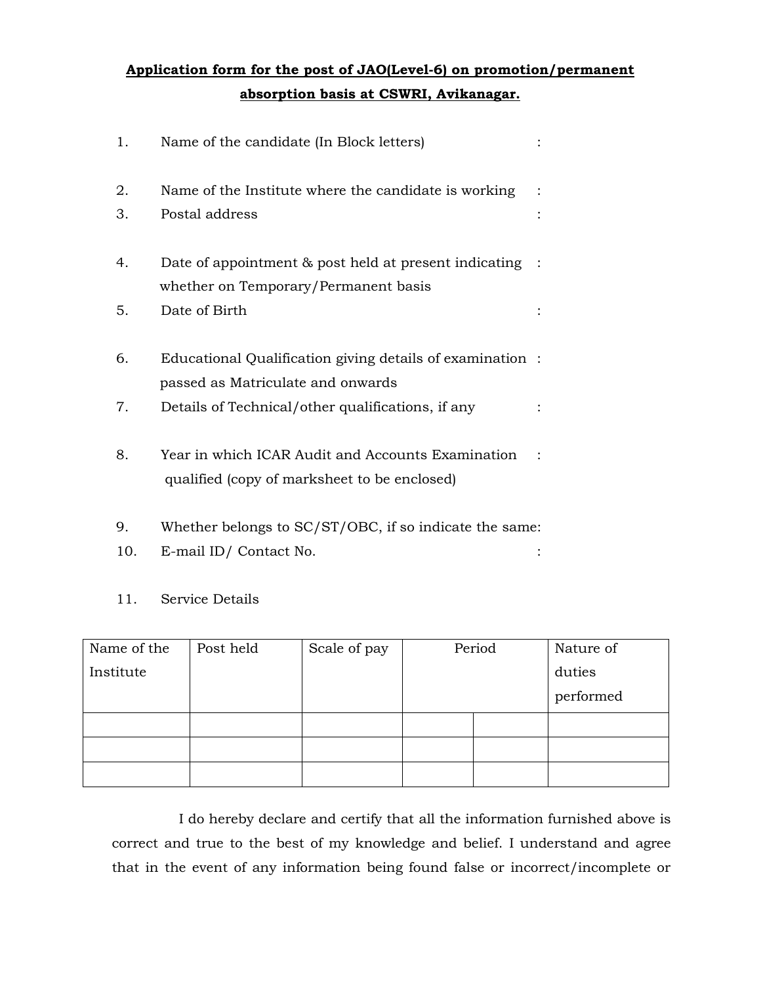# **Application form for the post of JAO(Level-6) on promotion/permanent absorption basis at CSWRI, Avikanagar.**

| 1. | Name of the candidate (In Block letters)                                                          |  |
|----|---------------------------------------------------------------------------------------------------|--|
| 2. | Name of the Institute where the candidate is working                                              |  |
| 3. | Postal address                                                                                    |  |
| 4. | Date of appointment & post held at present indicating                                             |  |
|    | whether on Temporary/Permanent basis                                                              |  |
| 5. | Date of Birth                                                                                     |  |
| 6. | Educational Qualification giving details of examination :                                         |  |
|    | passed as Matriculate and onwards                                                                 |  |
| 7. | Details of Technical/other qualifications, if any                                                 |  |
| 8. | Year in which ICAR Audit and Accounts Examination<br>qualified (copy of marksheet to be enclosed) |  |

- 9. Whether belongs to SC/ST/OBC, if so indicate the same:
- 10. E-mail ID/ Contact No. :

## 11. Service Details

| Name of the | Post held | Scale of pay | Period |  | Nature of |
|-------------|-----------|--------------|--------|--|-----------|
| Institute   |           |              |        |  | duties    |
|             |           |              |        |  | performed |
|             |           |              |        |  |           |
|             |           |              |        |  |           |
|             |           |              |        |  |           |

I do hereby declare and certify that all the information furnished above is correct and true to the best of my knowledge and belief. I understand and agree that in the event of any information being found false or incorrect/incomplete or